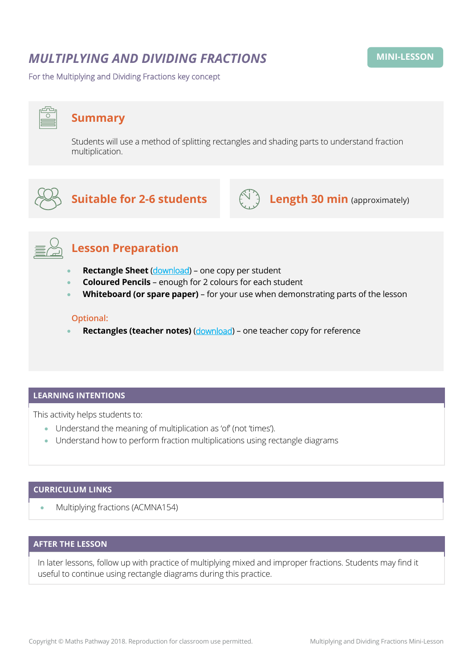## *MULTIPLYING AND DIVIDING FRACTIONS*

For the Multiplying and Dividing Fractions key concept

# **Summary**

Students will use a method of splitting rectangles and shading parts to understand fraction multiplication.



## **Suitable for 2-6 students**  $\left(\bigcup_{i=1}^{N} A_i\right)$  **Length 30 min** (approximately)





## **Lesson Preparation**

- **Rectangle Sheet** ([download](https://mpcontent.blob.core.windows.net/mini-lesson-resources/Multiplying%20and%20Dividing%20Fractions%20-%20Rectangles%20sheet.pdf)) one copy per student
- **Coloured Pencils** enough for 2 colours for each student
- **Whiteboard (or spare paper)** for your use when demonstrating parts of the lesson

#### **Optional:**

**Rectangles (teacher notes)** ([download](https://mpcontent.blob.core.windows.net/mini-lesson-resources/Multiplying%20and%20Dividing%20Fractions%20-%20Rectangles%20(teacher%20notes).pdf)) – one teacher copy for reference

#### **LEARNING INTENTIONS**

This activity helps students to:

- Understand the meaning of multiplication as 'of' (not 'times').
- Understand how to perform fraction multiplications using rectangle diagrams

### **CURRICULUM LINKS**

• Multiplying fractions (ACMNA154)

#### **AFTER THE LESSON**

In later lessons, follow up with practice of multiplying mixed and improper fractions. Students may find it useful to continue using rectangle diagrams during this practice.